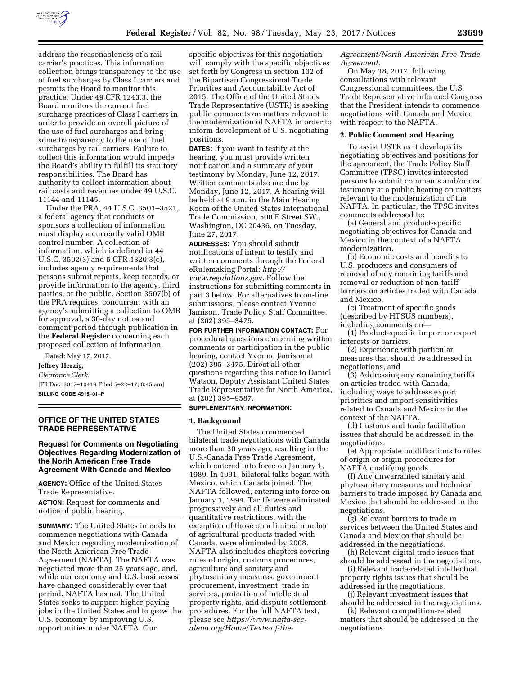

address the reasonableness of a rail carrier's practices. This information collection brings transparency to the use of fuel surcharges by Class I carriers and permits the Board to monitor this practice. Under 49 CFR 1243.3, the Board monitors the current fuel surcharge practices of Class I carriers in order to provide an overall picture of the use of fuel surcharges and bring some transparency to the use of fuel surcharges by rail carriers. Failure to collect this information would impede the Board's ability to fulfill its statutory responsibilities. The Board has authority to collect information about rail costs and revenues under 49 U.S.C. 11144 and 11145.

Under the PRA, 44 U.S.C. 3501–3521, a federal agency that conducts or sponsors a collection of information must display a currently valid OMB control number. A collection of information, which is defined in 44 U.S.C. 3502(3) and 5 CFR 1320.3(c), includes agency requirements that persons submit reports, keep records, or provide information to the agency, third parties, or the public. Section 3507(b) of the PRA requires, concurrent with an agency's submitting a collection to OMB for approval, a 30-day notice and comment period through publication in the **Federal Register** concerning each proposed collection of information.

Dated: May 17, 2017.

**Jeffrey Herzig,** 

*Clearance Clerk.* 

[FR Doc. 2017–10419 Filed 5–22–17; 8:45 am] **BILLING CODE 4915–01–P** 

## **OFFICE OF THE UNITED STATES TRADE REPRESENTATIVE**

# **Request for Comments on Negotiating Objectives Regarding Modernization of the North American Free Trade Agreement With Canada and Mexico**

**AGENCY:** Office of the United States Trade Representative.

**ACTION:** Request for comments and notice of public hearing.

**SUMMARY:** The United States intends to commence negotiations with Canada and Mexico regarding modernization of the North American Free Trade Agreement (NAFTA). The NAFTA was negotiated more than 25 years ago, and, while our economy and U.S. businesses have changed considerably over that period, NAFTA has not. The United States seeks to support higher-paying jobs in the United States and to grow the U.S. economy by improving U.S. opportunities under NAFTA. Our

specific objectives for this negotiation will comply with the specific objectives set forth by Congress in section 102 of the Bipartisan Congressional Trade Priorities and Accountability Act of 2015. The Office of the United States Trade Representative (USTR) is seeking public comments on matters relevant to the modernization of NAFTA in order to inform development of U.S. negotiating positions.

**DATES:** If you want to testify at the hearing, you must provide written notification and a summary of your testimony by Monday, June 12, 2017. Written comments also are due by Monday, June 12, 2017. A hearing will be held at 9 a.m. in the Main Hearing Room of the United States International Trade Commission, 500 E Street SW., Washington, DC 20436, on Tuesday, June 27, 2017.

**ADDRESSES:** You should submit notifications of intent to testify and written comments through the Federal eRulemaking Portal: *[http://](http://www.regulations.gov) [www.regulations.gov.](http://www.regulations.gov)* Follow the instructions for submitting comments in part 3 below. For alternatives to on-line submissions, please contact Yvonne Jamison, Trade Policy Staff Committee, at (202) 395–3475.

**FOR FURTHER INFORMATION CONTACT:** For procedural questions concerning written comments or participation in the public hearing, contact Yvonne Jamison at (202) 395–3475. Direct all other questions regarding this notice to Daniel Watson, Deputy Assistant United States Trade Representative for North America, at (202) 395–9587.

## **SUPPLEMENTARY INFORMATION:**

# **1. Background**

The United States commenced bilateral trade negotiations with Canada more than 30 years ago, resulting in the U.S.-Canada Free Trade Agreement, which entered into force on January 1, 1989. In 1991, bilateral talks began with Mexico, which Canada joined. The NAFTA followed, entering into force on January 1, 1994. Tariffs were eliminated progressively and all duties and quantitative restrictions, with the exception of those on a limited number of agricultural products traded with Canada, were eliminated by 2008. NAFTA also includes chapters covering rules of origin, customs procedures, agriculture and sanitary and phytosanitary measures, government procurement, investment, trade in services, protection of intellectual property rights, and dispute settlement procedures. For the full NAFTA text, please see *[https://www.nafta-sec](https://www.nafta-sec-alena.org/Home/Texts-of-the-Agreement/North-American-Free-Trade-Agreement)[alena.org/Home/Texts-of-the-](https://www.nafta-sec-alena.org/Home/Texts-of-the-Agreement/North-American-Free-Trade-Agreement)*

*[Agreement/North-American-Free-Trade-](https://www.nafta-sec-alena.org/Home/Texts-of-the-Agreement/North-American-Free-Trade-Agreement)[Agreement.](https://www.nafta-sec-alena.org/Home/Texts-of-the-Agreement/North-American-Free-Trade-Agreement)* 

On May 18, 2017, following consultations with relevant Congressional committees, the U.S. Trade Representative informed Congress that the President intends to commence negotiations with Canada and Mexico with respect to the NAFTA.

# **2. Public Comment and Hearing**

To assist USTR as it develops its negotiating objectives and positions for the agreement, the Trade Policy Staff Committee (TPSC) invites interested persons to submit comments and/or oral testimony at a public hearing on matters relevant to the modernization of the NAFTA. In particular, the TPSC invites comments addressed to:

(a) General and product-specific negotiating objectives for Canada and Mexico in the context of a NAFTA modernization.

(b) Economic costs and benefits to U.S. producers and consumers of removal of any remaining tariffs and removal or reduction of non-tariff barriers on articles traded with Canada and Mexico.

(c) Treatment of specific goods (described by HTSUS numbers), including comments on—

(1) Product-specific import or export interests or barriers,

(2) Experience with particular measures that should be addressed in negotiations, and

(3) Addressing any remaining tariffs on articles traded with Canada, including ways to address export priorities and import sensitivities related to Canada and Mexico in the context of the NAFTA.

(d) Customs and trade facilitation issues that should be addressed in the negotiations.

(e) Appropriate modifications to rules of origin or origin procedures for NAFTA qualifying goods.

(f) Any unwarranted sanitary and phytosanitary measures and technical barriers to trade imposed by Canada and Mexico that should be addressed in the negotiations.

(g) Relevant barriers to trade in services between the United States and Canada and Mexico that should be addressed in the negotiations.

(h) Relevant digital trade issues that should be addressed in the negotiations.

(i) Relevant trade-related intellectual property rights issues that should be addressed in the negotiations.

(j) Relevant investment issues that should be addressed in the negotiations.

(k) Relevant competition-related matters that should be addressed in the negotiations.